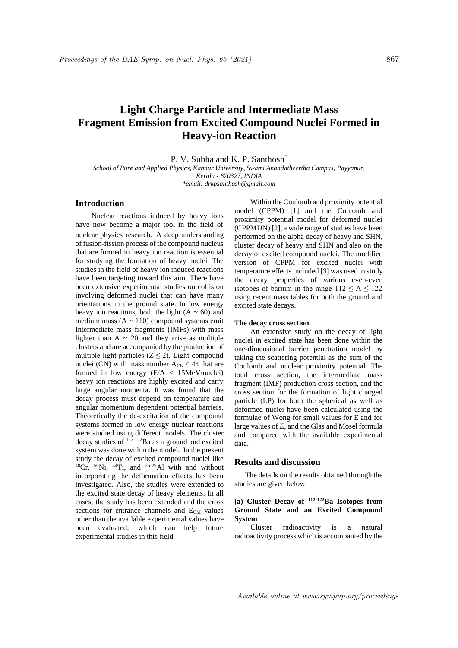# **Light Charge Particle and Intermediate Mass Fragment Emission from Excited Compound Nuclei Formed in Heavy-ion Reaction**

P. V. Subha and K. P. Santhosh<sup>\*</sup>

*School of Pure and Applied Physics, Kannur University, Swami Anandatheertha Campus, Payyanur, Kerala - 670327, INDIA \*email: drkpsanthosh@gmail.com*

#### **Introduction**

Nuclear reactions induced by heavy ions have now become a major tool in the field of nuclear physics research. A deep understanding of fusion-fission process of the compound nucleus that are formed in heavy ion reaction is essential for studying the formation of heavy nuclei. The studies in the field of heavy ion induced reactions have been targeting toward this aim. There have been extensive experimental studies on collision involving deformed nuclei that can have many orientations in the ground state. In low energy heavy ion reactions, both the light  $(A \sim 60)$  and medium mass  $(A \sim 110)$  compound systems emit Intermediate mass fragments (IMFs) with mass lighter than  $A \sim 20$  and they arise as multiple clusters and are accompanied by the production of multiple light particles  $(Z \le 2)$ . Light compound nuclei (CN) with mass number  $A_{CN}$  < 44 that are formed in low energy (E/A < 15MeV/nuclei) heavy ion reactions are highly excited and carry large angular momenta. It was found that the decay process must depend on temperature and angular momentum dependent potential barriers. Theoretically the de-excitation of the compound systems formed in low energy nuclear reactions were studied using different models. The cluster decay studies of  $112-122$ Ba as a ground and excited system was done within the model. In the present study the decay of excited compound nuclei like  $^{48}Cr$ ,  $^{56}Ni$ ,  $^{44}Ti$ , and  $^{26-29}Al$  with and without incorporating the deformation effects has been investigated. Also, the studies were extended to the excited state decay of heavy elements. In all cases, the study has been extended and the cross sections for entrance channels and  $E_{CM}$  values other than the available experimental values have been evaluated, which can help future experimental studies in this field.

Within the Coulomb and proximity potential model (CPPM) [1] and the Coulomb and proximity potential model for deformed nuclei (CPPMDN) [2], a wide range of studies have been performed on the alpha decay of heavy and SHN, cluster decay of heavy and SHN and also on the decay of excited compound nuclei. The modified version of CPPM for excited nuclei with temperature effects included [3] was used to study the decay properties of various even-even isotopes of barium in the range  $112 \le A \le 122$ using recent mass tables for both the ground and excited state decays.

#### **The decay cross section**

An extensive study on the decay of light nuclei in excited state has been done within the one-dimensional barrier penetration model by taking the scattering potential as the sum of the Coulomb and nuclear proximity potential. The total cross section, the intermediate mass fragment (IMF) production cross section, and the cross section for the formation of light charged particle (LP) for both the spherical as well as deformed nuclei have been calculated using the formulae of Wong for small values for E and for large values of *E*, and the Glas and Mosel formula and compared with the available experimental data.

# **Results and discussion**

The details on the results obtained through the studies are given below.

# **(a) Cluster Decay of 112-122Ba Isotopes from Ground State and an Excited Compound System**

Cluster radioactivity is a natural radioactivity process which is accompanied by the